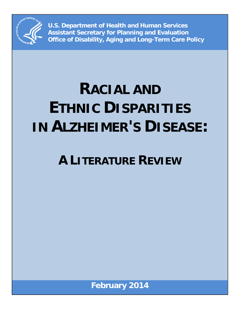

**U.S. Department of Health and Human Services Assistant Secretary for Planning and Evaluation Office of Disability, Aging and Long-Term Care Policy**

# **RACIAL AND ETHNIC DISPARITIES IN ALZHEIMER'S DISEASE:**

# **A LITERATURE REVIEW**

**February 2014**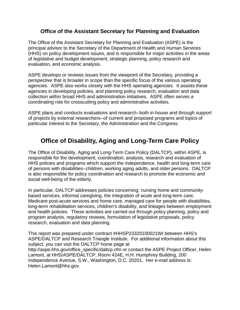#### **Office of the Assistant Secretary for Planning and Evaluation**

The Office of the Assistant Secretary for Planning and Evaluation (ASPE) is the principal advisor to the Secretary of the Department of Health and Human Services (HHS) on policy development issues, and is responsible for major activities in the areas of legislative and budget development, strategic planning, policy research and evaluation, and economic analysis.

ASPE develops or reviews issues from the viewpoint of the Secretary, providing a perspective that is broader in scope than the specific focus of the various operating agencies. ASPE also works closely with the HHS operating agencies. It assists these agencies in developing policies, and planning policy research, evaluation and data collection within broad HHS and administration initiatives. ASPE often serves a coordinating role for crosscutting policy and administrative activities.

ASPE plans and conducts evaluations and research--both in-house and through support of projects by external researchers--of current and proposed programs and topics of particular interest to the Secretary, the Administration and the Congress.

## **Office of Disability, Aging and Long-Term Care Policy**

The Office of Disability, Aging and Long-Term Care Policy (DALTCP), within ASPE, is responsible for the development, coordination, analysis, research and evaluation of HHS policies and programs which support the independence, health and long-term care of persons with disabilities--children, working aging adults, and older persons. DALTCP is also responsible for policy coordination and research to promote the economic and social well-being of the elderly.

In particular, DALTCP addresses policies concerning: nursing home and communitybased services, informal caregiving, the integration of acute and long-term care, Medicare post-acute services and home care, managed care for people with disabilities, long-term rehabilitation services, children's disability, and linkages between employment and health policies. These activities are carried out through policy planning, policy and program analysis, regulatory reviews, formulation of legislative proposals, policy research, evaluation and data planning.

This report was prepared under contract #HHSP23320100021WI between HHS's ASPE/DALTCP and Research Triangle Institute. For additional information about this subject, you can visit the DALTCP home page at http://aspe.hhs.gov/office\_specific/daltcp.cfm or contact the ASPE Project Officer, Helen Lamont, at HHS/ASPE/DALTCP, Room 424E, H.H. Humphrey Building, 200 Independence Avenue, S.W., Washington, D.C. 20201. Her e-mail address is: Helen.Lamont@hhs.gov.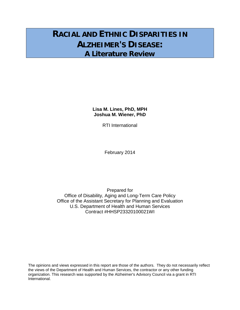# **RACIAL AND ETHNIC DISPARITIES IN ALZHEIMER'S DISEASE: A Literature Review**

**Lisa M. Lines, PhD, MPH Joshua M. Wiener, PhD**

RTI International

February 2014

Prepared for Office of Disability, Aging and Long-Term Care Policy Office of the Assistant Secretary for Planning and Evaluation U.S. Department of Health and Human Services Contract #HHSP23320100021WI

The opinions and views expressed in this report are those of the authors. They do not necessarily reflect the views of the Department of Health and Human Services, the contractor or any other funding organization. This research was supported by the Alzheimer's Advisory Council via a grant in RTI International.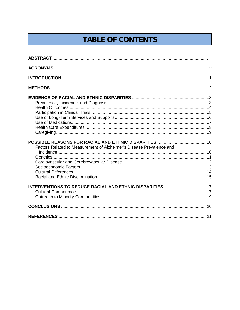# **TABLE OF CONTENTS**

| Factors Related to Measurement of Alzheimer's Disease Prevalence and |  |
|----------------------------------------------------------------------|--|
|                                                                      |  |
|                                                                      |  |
|                                                                      |  |
|                                                                      |  |
|                                                                      |  |
|                                                                      |  |
| <b>INTERVENTIONS TO REDUCE RACIAL AND ETHNIC DISPARITIES 17</b>      |  |
|                                                                      |  |
|                                                                      |  |
|                                                                      |  |
|                                                                      |  |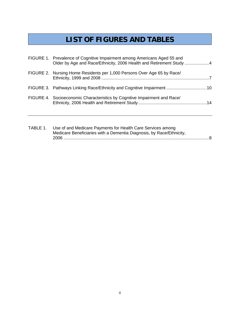# **LIST OF FIGURES AND TABLES**

| FIGURE 1. Prevalence of Cognitive Impairment among Americans Aged 55 and<br>Older by Age and Race/Ethnicity, 2006 Health and Retirement Study 4 |  |
|-------------------------------------------------------------------------------------------------------------------------------------------------|--|
| FIGURE 2. Nursing Home Residents per 1,000 Persons Over Age 65 by Race/                                                                         |  |
| FIGURE 3. Pathways Linking Race/Ethnicity and Cognitive Impairment 10                                                                           |  |
| FIGURE 4. Socioeconomic Characteristics by Cognitive Impairment and Race/                                                                       |  |

| TABLE 1. | Use of and Medicare Payments for Health Care Services among          |  |
|----------|----------------------------------------------------------------------|--|
|          | Medicare Beneficiaries with a Dementia Diagnosis, by Race/Ethnicity, |  |
|          |                                                                      |  |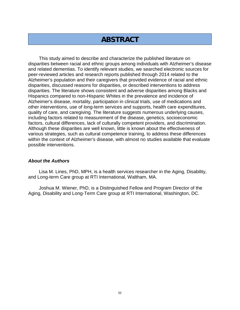## **ABSTRACT**

This study aimed to describe and characterize the published literature on disparities between racial and ethnic groups among individuals with Alzheimer's disease and related dementias. To identify relevant studies, we searched electronic sources for peer-reviewed articles and research reports published through 2014 related to the Alzheimer's population and their caregivers that provided evidence of racial and ethnic disparities, discussed reasons for disparities, or described interventions to address disparities. The literature shows consistent and adverse disparities among Blacks and Hispanics compared to non-Hispanic Whites in the prevalence and incidence of Alzheimer's disease, mortality, participation in clinical trials, use of medications and other interventions, use of long-term services and supports, health care expenditures, quality of care, and caregiving. The literature suggests numerous underlying causes, including factors related to measurement of the disease, genetics, socioeconomic factors, cultural differences, lack of culturally competent providers, and discrimination. Although these disparities are well known, little is known about the effectiveness of various strategies, such as cultural competence training, to address these differences within the context of Alzheimer's disease, with almost no studies available that evaluate possible interventions.

#### *About the Authors*

Lisa M. Lines, PhD, MPH, is a health services researcher in the Aging, Disability, and Long-term Care group at RTI International, Waltham, MA.

Joshua M. Wiener, PhD, is a Distinguished Fellow and Program Director of the Aging, Disability and Long-Term Care group at RTI International, Washington, DC.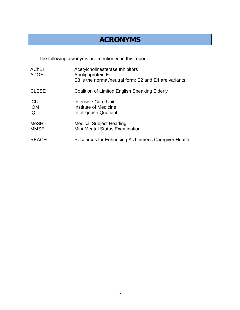# **ACRONYMS**

The following acronyms are mentioned in this report.

| <b>AChEI</b><br><b>APOE</b>    | Acetylcholinesterase Inhibitors<br>Apolipoprotein E<br>E3 is the normal/neutral form; E2 and E4 are variants |
|--------------------------------|--------------------------------------------------------------------------------------------------------------|
| <b>CLESE</b>                   | Coalition of Limited English Speaking Elderly                                                                |
| <b>ICU</b><br><b>IOM</b><br>IQ | Intensive Care Unit<br>Institute of Medicine<br>Intelligence Quotient                                        |
| <b>MeSH</b><br><b>MMSE</b>     | <b>Medical Subject Heading</b><br><b>Mini-Mental Status Examination</b>                                      |
| <b>REACH</b>                   | Resources for Enhancing Alzheimer's Caregiver Health                                                         |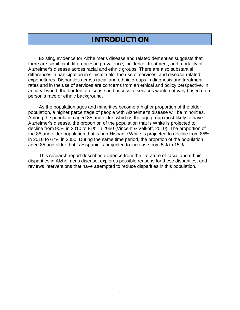# **INTRODUCTION**

Existing evidence for Alzheimer's disease and related dementias suggests that there are significant differences in prevalence, incidence, treatment, and mortality of Alzheimer's disease across racial and ethnic groups. There are also substantial differences in participation in clinical trials, the use of services, and disease-related expenditures. Disparities across racial and ethnic groups in diagnosis and treatment rates and in the use of services are concerns from an ethical and policy perspective. In an ideal world, the burden of disease and access to services would not vary based on a person's race or ethnic background.

As the population ages and minorities become a higher proportion of the older population, a higher percentage of people with Alzheimer's disease will be minorities. Among the population aged 85 and older, which is the age group most likely to have Alzheimer's disease, the proportion of the population that is White is projected to decline from 90% in 2010 to 81% in 2050 (Vincent & Velkoff, 2010). The proportion of the 85 and older population that is non-Hispanic White is projected to decline from 85% in 2010 to 67% in 2050. During the same time period, the proprtion of the population aged 85 and older that is Hispanic is projected to increase from 5% to 15%.

This research report describes evidence from the literature of racial and ethnic disparities in Alzheimer's disease, explores possible reasons for these disparities, and reviews interventions that have attempted to reduce disparities in this population.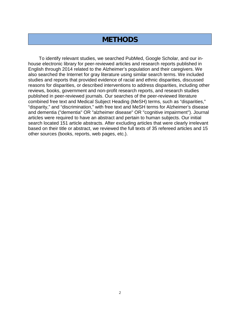### **METHODS**

To identify relevant studies, we searched PubMed, Google Scholar, and our inhouse electronic library for peer-reviewed articles and research reports published in English through 2014 related to the Alzheimer's population and their caregivers. We also searched the Internet for gray literature using similar search terms. We included studies and reports that provided evidence of racial and ethnic disparities, discussed reasons for disparities, or described interventions to address disparities, including other reviews, books, government and non-profit research reports, and research studies published in peer-reviewed journals. Our searches of the peer-reviewed literature combined free text and Medical Subject Heading (MeSH) terms, such as "disparities," "disparity," and "discrimination," with free text and MeSH terms for Alzheimer's disease and dementia ("dementia" OR "alzheimer disease" OR "cognitive impairment"). Journal articles were required to have an abstract and pertain to human subjects. Our initial search located 151 article abstracts. After excluding articles that were clearly irrelevant based on their title or abstract, we reviewed the full texts of 35 refereed articles and 15 other sources (books, reports, web pages, etc.).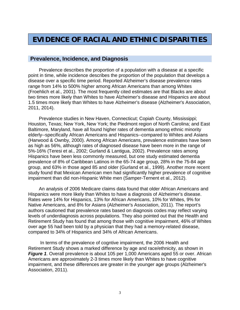# **EVIDENCE OF RACIAL AND ETHNIC DISPARITIES**

#### **Prevalence, Incidence, and Diagnosis**

Prevalence describes the proportion of a population with a disease at a specific point in time, while incidence describes the proportion of the population that develops a disease over a specific time period. Reported Alzheimer's disease prevalence rates range from 14% to 500% higher among African Americans than among Whites (Froehlich et al., 2001). The most frequently cited estimates are that Blacks are about two times more likely than Whites to have Alzheimer's disease and Hispanics are about 1.5 times more likely than Whites to have Alzheimer's disease (Alzheimer's Association, 2011, 2014).

Prevalence studies in New Haven, Connecticut; Copiah County, Mississippi; Houston, Texas; New York, New York; the Piedmont region of North Carolina; and East Baltimore, Maryland, have all found higher rates of dementia among ethnic minority elderly--specifically African Americans and Hispanics--compared to Whites and Asians (Harwood & Ownby, 2000). Among African Americans, prevalence estimates have been as high as 56%, although rates of diagnosed disease have been more in the range of 5%-16% (Teresi et al., 2002; Gurland & Lantigua, 2002). Prevalence rates among Hispanics have been less commonly measured, but one study estimated dementia prevalence of 8% of Caribbean Latinos in the 65-74 age group, 28% in the 75-84 age group, and 63% in those aged 85 and older (Gurland et al., 1999). Another more recent study found that Mexican American men had significantly higher prevalence of cognitive impairment than did non-Hispanic White men (Samper-Ternent et al., 2012).

An analysis of 2006 Medicare claims data found that older African Americans and Hispanics were more likely than Whites to have a diagnosis of Alzheimer's disease. Rates were 14% for Hispanics, 13% for African Americans, 10% for Whites, 9% for Native Americans, and 8% for Asians (Alzheimer's Association, 2011). The report's authors cautioned that prevalence rates based on diagnosis codes may reflect varying levels of underdiagnosis across populations. They also pointed out that the Health and Retirement Study has found that among those with cognitive impairment, 46% of Whites over age 55 had been told by a physician that they had a memory-related disease, compared to 34% of Hispanics and 34% of African Americans.

In terms of the prevalence of cogntive impairment, the 2006 Health and Retirement Study shows a marked difference by age and race/ethnicity, as shown in *Figure 1.* Overall prevalence is about 105 per 1,000 Americans aged 55 or over. African Americans are approximately 2-3 times more likely than Whites to have cognitive impairment, and these differences are greater in the younger age groups (Alzheimer's Association, 2011).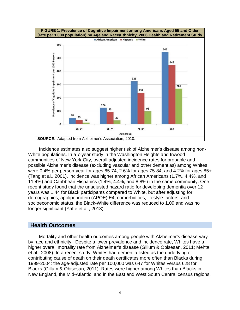

Incidence estimates also suggest higher risk of Alzheimer's disease among non-White populations. In a 7-year study in the Washington Heights and Inwood communities of New York City, overall adjusted incidence rates for probable and possible Alzheimer's disease (excluding vascular and other dementias) among Whites were 0.4% per person-year for ages 65-74, 2.6% for ages 75-84, and 4.2% for ages 85+ (Tang et al., 2001). Incidence was higher among African Americans (1.7%, 4.4%, and 11.4%) and Caribbean Hispanics (1.4%, 4.4%, and 8.8%) in the same community. One recent study found that the unadjusted hazard ratio for developing dementia over 12 years was 1.44 for Black participants compared to White, but after adjusting for demographics, apolipoprotein (APOE) E4, comorbidities, lifestyle factors, and socioeconomic status, the Black-White difference was reduced to 1.09 and was no longer significant (Yaffe et al., 2013).

#### **Health Outcomes**

Mortality and other health outcomes among people with Alzheimer's disease vary by race and ethnicity. Despite a lower prevalence and incidence rate, Whites have a higher overall mortality rate from Alzheimer's disease (Gillum & Obisesan, 2011; Mehta et al., 2008). In a recent study, Whites had dementia listed as the underlying or contributing cause of death on their death certificates more often than Blacks during 1999-2004: the age-adjusted rate per 100,000 was 647 for Whites versus 628 for Blacks (Gillum & Obisesan, 2011). Rates were higher among Whites than Blacks in New England, the Mid-Atlantic, and in the East and West South Central census regions.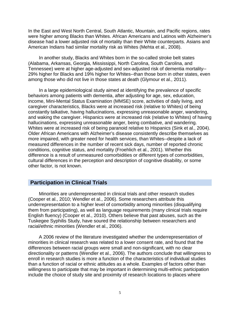In the East and West North Central, South Atlantic, Mountain, and Pacific regions, rates were higher among Blacks than Whites. African Americans and Latinos with Alzheimer's disease had a lower adjusted risk of mortality than their White counterparts. Asians and American Indians had similar mortality risk as Whites (Mehta et al., 2008).

In another study, Blacks and Whites born in the so-called stroke belt states (Alabama, Arkansas, Georgia, Mississippi, North Carolina, South Carolina, and Tennessee) were at higher age-adjusted and sex-adjusted risk of dementia mortality-- 29% higher for Blacks and 19% higher for Whites--than those born in other states, even among those who did not live in those states at death (Glymour et al., 2011).

In a large epidemiological study aimed at identifying the prevalence of specific behaviors among patients with dementia, after adjusting for age, sex, education, income, Mini-Mental Status Examination (MMSE) score, activities of daily living, and caregiver characteristics, Blacks were at increased risk (relative to Whites) of being constantly talkative, having hallucinations, expressing unreasonable anger, wandering, and waking the caregiver. Hispanics were at increased risk (relative to Whites) of having hallucinations, expressing unreasonable anger, being combative, and wandering. Whites were at increased risk of being paranoid relative to Hispanics (Sink et al., 2004). Older African Americans with Alzheimer's disease consistently describe themselves as more impaired, with greater need for health services, than Whites--despite a lack of measured differences in the number of recent sick days, number of reported chronic conditions, cognitive status, and mortality (Froehlich et al., 2001). Whether this difference is a result of unmeasured comorbidities or different types of comorbidities, cultural differences in the perception and description of cognitive disability, or some other factor, is not known.

#### **Participation in Clinical Trials**

Minorities are underrepresented in clinical trials and other research studies (Cooper et al., 2010; Wendler et al., 2006). Some researchers attribute this underrepresentation to a higher level of comorbidity among minorities (disqualifying them from participating), as well as language requirements (many clinical trials require English fluency) (Cooper et al., 2010). Others believe that past abuses, such as the Tuskegee Syphilis Study, have soured the relationship between researchers and racial/ethnic minorities (Wendler et al., 2006).

A 2006 review of the literature investigated whether the underrepresentation of minorities in clinical research was related to a lower consent rate, and found that the differences between racial groups were small and non-significant, with no clear directionality or patterns (Wendler et al., 2006). The authors conclude that willingness to enroll in research studies is more a function of the characteristics of individual studies than a function of racial or ethnic attitudes as a whole. Examples of factors other than willingness to participate that may be important in determining multi-ethnic participation include the choice of study site and proximity of research locations to places where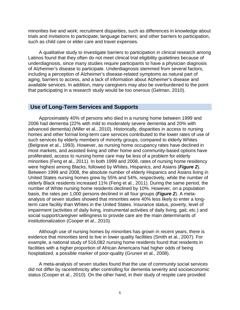minorities live and work; recruitment disparities, such as differences in knowledge about trials and invitations to participate; language barriers; and other barriers to participation, such as child care or elder care and travel expenses.

A qualitative study to investigate barriers to participation in clinical research among Latinos found that they often do not meet clinical trial eligibility guidelines because of underdiagnosis, since many studies require participants to have a physician diagnosis of Alzheimer's disease to participate. Underdiagnosis stemmed from several factors, including a perception of Alzheimer's disease-related symptoms as natural part of aging, barriers to access, and a lack of information about Alzheimer's disease and available services. In addition, many caregivers may also be overburdened to the point that participating in a research study would be too onerous (Gelman, 2010).

#### **Use of Long-Term Services and Supports**

Approximately 40% of persons who died in a nursing home between 1999 and 2006 had dementia (22% with mild to moderately severe dementia and 20% with advanced dementia) (Miller et al., 2010). Historically, disparities in access to nursing homes and other formal long-term care services contributed to the lower rates of use of such services by elderly members of minority groups, compared to elderly Whites (Belgrave et al., 1993). However, as nursing home occupancy rates have declined in most markets, and assisted living and other home and community-based options have proliferated, access to nursing home care may be less of a problem for elderly minorities (Feng et al., 2011). In both 1999 and 2008, rates of nursing home residency were highest among Blacks, followed by Whites, Hispanics, and Asians (*Figure 2*). Between 1999 and 2008, the absolute number of elderly Hispanics and Asians living in United States nursing homes grew by 55% and 54%, respectively, while the number of elderly Black residents increased 11% (Feng et al., 2011). During the same period, the number of White nursing home residents declined by 10%. However, on a population basis, the rates per 1,000 persons declined in all four groups (*Figure 2*). A metaanalysis of seven studies showed that minorities were 40% less likely to enter a longterm care facility than Whites in the United States. Insurance status, poverty, level of impairment (activities of daily living, instrumental activities of daily living, gait, etc.) and social support/caregiver willingness to provide care are the main determinants of institutionalization (Cooper et al., 2010).

Although use of nursing homes by minorities has grown in recent years, there is evidence that minorities tend to live in lower quality facilities (Smith et al., 2007). For example, a national study of 516,082 nursing home residents found that residents in facilities with a higher proportion of African Americans had higher odds of being hospitalized, a possible marker of poor-quality (Gruneir et al., 2008).

A meta-analysis of seven studies found that the use of community social services did not differ by race/ethnicity after controlling for dementia severity and socioeconomic status (Cooper et al., 2010). On the other hand, in their study of respite care provided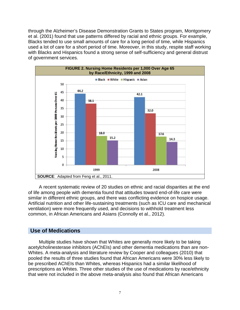through the Alzheimer's Disease Demonstration Grants to States program, Montgomery et al. (2001) found that use patterns differed by racial and ethnic groups. For example, Blacks tended to use small amounts of care for a long period of time, while Hispanics used a lot of care for a short period of time. Moreover, in this study, respite staff working with Blacks and Hispanics found a strong sense of self-sufficiency and general distrust of government services.



A recent systematic review of 20 studies on ethnic and racial disparities at the end of life among people with dementia found that attitudes toward end-of-life care were similar in different ethnic groups, and there was conflicting evidence on hospice usage. Artificial nutrition and other life-sustaining treatments (such as ICU care and mechanical ventilation) were more frequently used, and decisions to withhold treatment less common, in African Americans and Asians (Connolly et al., 2012).

#### **Use of Medications**

Multiple studies have shown that Whites are generally more likely to be taking acetylcholinesterase inhibitors (AChEIs) and other dementia medications than are non-Whites. A meta-analysis and literature review by Cooper and colleagues (2010) that pooled the results of three studies found that African Americans were 30% less likely to be prescribed AChEIs than Whites, whereas Hispanics had a similar likelihood of prescriptions as Whites. Three other studies of the use of medications by race/ethnicity that were not included in the above meta-analysis also found that African Americans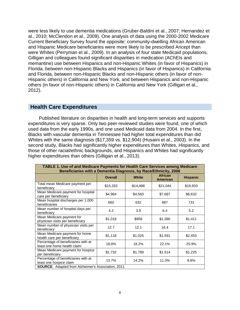were less likely to use dementia medications (Gruber-Baldini et al., 2007; Hernandez et al., 2010; McClendon et al., 2009). One analysis of data using the 2000-2002 Medicare Current Beneficiary Survey found the opposite: community-dwelling African American and Hispanic Medicare beneficiaries were more likely to be prescribed Aricept than were Whites (Perryman et al., 2009). In an analysis of four state Medicaid populations, Gilligan and colleagues found significant disparities in medication (AChEIs and memantine) use between Hispanics and non-Hispanic Whites (in favor of Hispanics) in Florida, between non-Hispanic Blacks and Hispanics (in favor of Hispanics) in California and Florida, between non-Hispanic Blacks and non-Hispanic others (in favor of non-Hispanic others) in California and New York, and between Hispanics and non-Hispanic others (in favor of non-Hispanic others) in California and New York (Gilligan et al., 2012).

#### **Health Care Expenditures**

Published literature on disparities in health and long-term services and supports expenditures is very sparse. Only two peer-reviewed studies were found, one of which used data from the early 1990s, and one used Medicaid data from 2004. In the first, Blacks with vascular dementia in Tennessee had higher total expenditures than did Whites with the same diagnosis (\$17,359 vs. \$12,904) (Husaini et al., 2003). In the second study, Blacks had significantly higher expenditures than Whites, Hispanics, and those of other racial/ethnic backgrounds, and Hispanics and Whites had significantly higher expenditures than others (Gilligan et al., 2013).

| TABLE 1. Use of and Medicare Payments for Health Care Services among Medicare<br>Beneficiaries with a Dementia Diagnosis, by Race/Ethnicity, 2006 |                |              |                                   |                 |  |  |  |
|---------------------------------------------------------------------------------------------------------------------------------------------------|----------------|--------------|-----------------------------------|-----------------|--|--|--|
|                                                                                                                                                   | <b>Overall</b> | <b>White</b> | <b>African</b><br><b>American</b> | <b>Hispanic</b> |  |  |  |
| Total mean Medicare payment per<br>beneficiary                                                                                                    | \$15,333       | \$14,498     | \$21,044                          | \$19,933        |  |  |  |
| Mean Medicare payment for hospital<br>care per beneficiary                                                                                        | \$4,964        | \$4,563      | \$7,687                           | \$6,632         |  |  |  |
| Mean hospital discharges per 1,000<br>beneficiaries                                                                                               | 660            | 632          | 887                               | 731             |  |  |  |
| Mean number of hospital days per<br>beneficiary                                                                                                   | 4.2            | 3.9          | 6.4                               | 5.2             |  |  |  |
| Mean Medicare payment for<br>physician visits per beneficiary                                                                                     | \$1,018        | \$956        | \$1,390                           | \$1,411         |  |  |  |
| Mean number of physician visits per<br>beneficiary                                                                                                | 12.7           | 12.1         | 16.4                              | 17.1            |  |  |  |
| Mean Medicare payment for home<br>health care per beneficiary                                                                                     | \$1,118        | \$1,025      | \$1,591                           | \$2,453         |  |  |  |
| Percentage of beneficiaries with at<br>least one home health claim                                                                                | 18.8%          | 18.2%        | 22.1%                             | 25.9%           |  |  |  |
| Mean Medicare payment for hospice<br>per beneficiary                                                                                              | \$1,732        | \$1,789      | \$1,514                           | \$1,225         |  |  |  |
| Percentage of beneficiaries with at<br>least one hospice claim                                                                                    | 13.7%          | 14.2%        | 11.3%                             | 8.8%            |  |  |  |
| SOURCE: Adapted from Alzheimer's Association, 2011.                                                                                               |                |              |                                   |                 |  |  |  |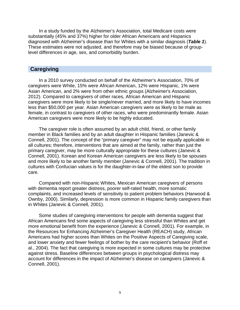In a study funded by the Alzheimer's Association, total Medicare costs were substantially (45% and 37%) higher for older African Americans and Hispanics diagnosed with Alzheimer's disease than for Whites with a similar diagnosis (*Table 1*). These estimates were not adjusted, and therefore may be biased because of grouplevel differences in age, sex, and comorbidity burden.

#### **Caregiving**

In a 2010 survey conducted on behalf of the Alzheimer's Association, 70% of caregivers were White, 15% were African American, 12% were Hispanic, 1% were Asian American, and 2% were from other ethnic groups (Alzheimer's Association, 2012). Compared to caregivers of other races, African American and Hispanic caregivers were more likely to be single/never married, and more likely to have incomes less than \$50,000 per year. Asian American caregivers were as likely to be male as female, in contrast to caregivers of other races, who were predominantly female. Asian American caregivers were more likely to be highly educated.

The caregiver role is often assumed by an adult child, friend, or other family member in Black families and by an adult daughter in Hispanic families (Janevic & Connell, 2001). The concept of the "primary caregiver" may not be equally applicable in all cultures; therefore, interventions that are aimed at the family, rather than just the primary caregiver, may be more culturally appropriate for these cultures (Janevic & Connell, 2001). Korean and Korean American caregivers are less likely to be spouses and more likely to be another family member (Janevic & Connell, 2001). The tradition in cultures with Confucian values is for the daughter-in-law of the eldest son to provide care.

Compared with non-Hispanic Whites, Mexican American caregivers of persons with dementia report greater distress, poorer self-rated health, more somatic complaints, and increased levels of sensitivity to patient problem behaviors (Harwood & Ownby, 2000). Similarly, depression is more common in Hispanic family caregivers than in Whites (Janevic & Connell, 2001).

Some studies of caregiving interventions for people with dementia suggest that African Americans find some aspects of caregiving less stressful than Whites and get more emotional benefit from the experience (Janevic & Connell, 2001). For example, in the Resources for Enhancing Alzheimer's Caregiver Health (REACH) study, African Americans had higher scores than Whites on the Positive Aspects of Caregiving scale, and lower anxiety and fewer feelings of bother by the care recipient's behavior (Roff et al., 2004). The fact that caregiving is more expected in some cultures may be protective against stress. Baseline differences between groups in psychological distress may account for differences in the impact of Alzheimer's disease on caregivers (Janevic & Connell, 2001).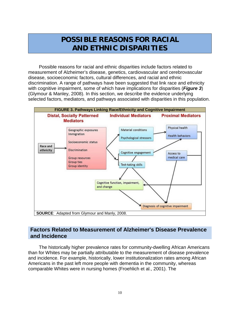# **POSSIBLE REASONS FOR RACIAL AND ETHNIC DISPARITIES**

Possible reasons for racial and ethnic disparities include factors related to measurement of Alzheimer's disease, genetics, cardiovascular and cerebrovascular disease, socioeconomic factors, cultural differences, and racial and ethnic discrimination. A range of pathways have been suggested that link race and ethnicity with cognitive impairment, some of which have implications for disparities (*Figure 3*) (Glymour & Manley, 2008). In this section, we describe the evidence underlying selected factors, mediators, and pathways associated with disparities in this population.



#### **Factors Related to Measurement of Alzheimer's Disease Prevalence and Incidence**

The historically higher prevalence rates for community-dwelling African Americans than for Whites may be partially attributable to the measurement of disease prevalence and incidence. For example, historically, lower institutionalization rates among African Americans in the past left more people with dementia in the community, whereas comparable Whites were in nursing homes (Froehlich et al., 2001). The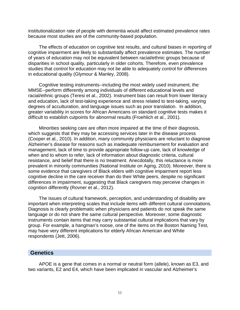institutionalization rate of people with dementia would affect estimated prevalence rates because most studies are of the community-based population.

The effects of education on cognitive test results, and cultural biases in reporting of cognitive impairment are likely to substantially affect prevalence estimates. The number of years of education may not be equivalent between racial/ethnic groups because of disparities in school quality, particularly in older cohorts. Therefore, even prevalence studies that control for education may not be able to adequately control for differences in educational quality (Glymour & Manley, 2008).

Cognitive testing instruments--including the most widely used instrument, the MMSE--perform differently among individuals of different educational levels and racial/ethnic groups (Teresi et al., 2002). Instrument bias can result from lower literacy and education, lack of test-taking experience and stress related to test-taking, varying degrees of acculturation, and language issues such as poor translation. In addition, greater variability in scores for African Americans on standard cognitive tests makes it difficult to establish cutpoints for abnormal results (Froehlich et al., 2001).

Minorities seeking care are often more impaired at the time of their diagnosis, which suggests that they may be accessing services later in the disease process (Cooper et al., 2010). In addition, many community physicians are reluctant to diagnose Alzheimer's disease for reasons such as inadequate reimbursement for evaluation and management, lack of time to provide appropriate follow-up care, lack of knowledge of when and to whom to refer, lack of information about diagnostic criteria, cultural resistance, and belief that there is no treatment. Anecdotally, this reluctance is more prevalent in minority communities (National Institute on Aging, 2010). Moreover, there is some evidence that caregivers of Black elders with cognitive impairment report less cognitive decline in the care receiver than do their White peers, despite no significant differences in impairment, suggesting that Black caregivers may perceive changes in cognition differently (Rovner et al., 2012).

The issues of cultural framework, perception, and understanding of disability are important when interpreting scales that include items with different cultural connotations. Diagnosis is clearly problematic when physicians and patients do not speak the same language or do not share the same cultural perspective. Moreover, some diagnostic instruments contain items that may carry substantial cultural implications that vary by group. For example, a hangman's noose, one of the items on the Boston Naming Test, may have very different implications for elderly African American and White respondents (Jett, 2006).

#### **Genetics**

APOE is a gene that comes in a normal or neutral form (allele), known as E3, and two variants, E2 and E4, which have been implicated in vascular and Alzheimer's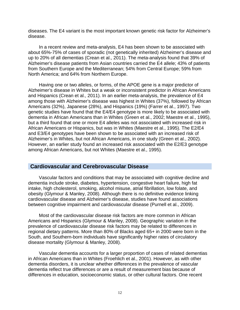diseases. The E4 variant is the most important known genetic risk factor for Alzheimer's disease.

In a recent review and meta-analysis, E4 has been shown to be associated with about 65%-75% of cases of sporadic (not genetically inherited) Alzheimer's disease and up to 20% of all dementias (Crean et al., 2011). The meta-analysis found that 39% of Alzheimer's disease patients from Asian countries carried the E4 allele; 43% of patients from Southern Europe and the Mediterranean; 54% from Central Europe; 59% from North America; and 64% from Northern Europe.

Having one or two alleles, or forms, of the APOE gene is a major predictor of Alzheimer's disease in Whites but a weak or inconsistent predictor in African Americans and Hispanics (Crean et al., 2011). In an earlier meta-analysis, the prevalence of E4 among those with Alzheimer's disease was highest in Whites (37%), followed by African Americans (32%), Japanese (28%), and Hispanics (19%) (Farrer et al., 1997). Two genetic studies have found that the E4/E4 genotype is more likely to be associated with dementia in African Americans than in Whites (Green et al., 2002; Maestre et al., 1995), but a third found that one or more E4 alleles was not associated with increased risk in African Americans or Hispanics, but was in Whites (Maestre et al., 1995). The E2/E4 and E3/E4 genotypes have been shown to be associated with an increased risk of Alzheimer's in Whites, but not African Americans, in one study (Green et al., 2002). However, an earlier study found an increased risk associated with the E2/E3 genotype among African Americans, but not Whites (Maestre et al., 1995).

#### **Cardiovascular and Cerebrovascular Disease**

Vascular factors and conditions that may be associated with cognitive decline and dementia include stroke, diabetes, hypertension, congestive heart failure, high fat intake, high cholesterol, smoking, alcohol misuse, atrial fibrillation, low folate, and obesity (Glymour & Manley, 2008). Although there is no definitive evidence linking cardiovascular disease and Alzheimer's disease, studies have found associations between cognitive impairment and cardiovascular disease (Purnell et al., 2009).

Most of the cardiovascular disease risk factors are more common in African Americans and Hispanics (Glymour & Manley, 2008). Geographic variation in the prevalence of cardiovascular disease risk factors may be related to differences in regional dietary patterns. More than 80% of Blacks aged 65+ in 2000 were born in the South, and Southern-born individuals have significantly higher rates of circulatory disease mortality (Glymour & Manley, 2008).

Vascular dementia accounts for a larger proportion of cases of related dementias in African Americans than in Whites (Froehlich et al., 2001). However, as with other dementia disorders, it is unclear whether differences in the prevalence of vascular dementia reflect true differences or are a result of measurement bias because of differences in education, socioeconomic status, or other cultural factors. One recent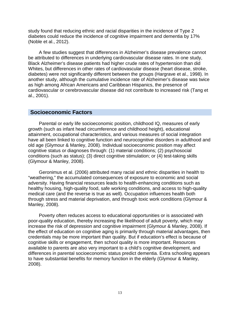study found that reducing ethnic and racial disparities in the incidence of Type 2 diabetes could reduce the incidence of cognitive impairment and dementia by 17% (Noble et al., 2012).

A few studies suggest that differences in Alzheimer's disease prevalence cannot be attributed to differences in underlying cardiovascular disease rates. In one study, Black Alzheimer's disease patients had higher crude rates of hypertension than did Whites, but differences in other rates of cardiovascular disease (heart disease, stroke, diabetes) were not significantly different between the groups (Hargrave et al., 1998). In another study, although the cumulative incidence rate of Alzheimer's disease was twice as high among African Americans and Caribbean Hispanics, the presence of cardiovascular or cerebrovascular disease did not contribute to increased risk (Tang et al., 2001).

#### **Socioeconomic Factors**

Parental or early life socioeconomic position, childhood IQ, measures of early growth (such as infant head circumference and childhood height), educational attainment, occupational characteristics, and various measures of social integration have all been linked to cognitive function and neurocognitive disorders in adulthood and old age (Glymour & Manley, 2008). Individual socioeconomic position may affect cognitive status or diagnoses through: (1) material conditions; (2) psychosocial conditions (such as status); (3) direct cognitive stimulation; or (4) test-taking skills (Glymour & Manley, 2008).

Geronimus et al. (2006) attributed many racial and ethnic disparities in health to "weathering," the accumulated consequences of exposure to economic and social adversity. Having financial resources leads to health-enhancing conditions such as healthy housing, high-quality food, safe working conditions, and access to high-quality medical care (and the reverse is true as well). Occupation influences health both through stress and material deprivation, and through toxic work conditions (Glymour & Manley, 2008).

Poverty often reduces access to educational opportunities or is associated with poor-quality education, thereby increasing the likelihood of adult poverty, which may increase the risk of depression and cognitive impairment (Glymour & Manley, 2008). If the effect of education on cognitive aging is primarily through material advantages, then credentials may be more important than quality. But if education's effect is because of cognitive skills or engagement, then school quality is more important. Resources available to parents are also very important to a child's cognitive development, and differences in parental socioeconomic status predict dementia. Extra schooling appears to have substantial benefits for memory function in the elderly (Glymour & Manley, 2008).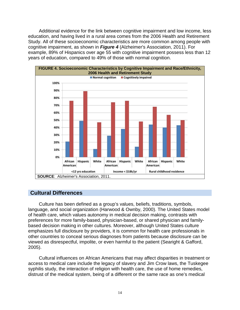Additional evidence for the link between cognitive impairment and low income, less education, and having lived in a rural area comes from the 2006 Health and Retirement Study. All of these socioeconomic characteristics are more common among people with cognitive impairment, as shown in *Figure 4* (Alzheimer's Association, 2011). For example, 89% of Hispanics over age 55 with cognitive impairment possess less than 12 years of education, compared to 49% of those with normal cognition.



#### **Cultural Differences**

Culture has been defined as a group's values, beliefs, traditions, symbols, language, and social organization (Harwood & Ownby, 2000). The United States model of health care, which values autonomy in medical decision making, contrasts with preferences for more family-based, physician-based, or shared physician and familybased decision making in other cultures. Moreover, although United States culture emphasizes full disclosure by providers, it is common for health care professionals in other countries to conceal serious diagnoses from patients because disclosure can be viewed as disrespectful, impolite, or even harmful to the patient (Searight & Gafford, 2005).

Cultural influences on African Americans that may affect disparities in treatment or access to medical care include the legacy of slavery and Jim Crow laws, the Tuskegee syphilis study, the interaction of religion with health care, the use of home remedies, distrust of the medical system, being of a different or the same race as one's medical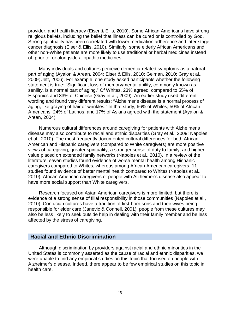provider, and health literacy (Eiser & Ellis, 2010). Some African Americans have strong religious beliefs, including the belief that illness can be cured or is controlled by God. Strong spirituality has been correlated with lower medication adherence and later stage cancer diagnosis (Eiser & Ellis, 2010). Similarly, some elderly African Americans and other non-White patients are more likely to use traditional or herbal medicines instead of, prior to, or alongside allopathic medicines.

Many individuals and cultures perceive dementia-related symptoms as a natural part of aging (Ayalon & Arean, 2004; Eiser & Ellis, 2010; Gelman, 2010; Gray et al., 2009; Jett, 2006). For example, one study asked participants whether the following statement is true: "Significant loss of memory/mental ability, commonly known as senility, is a normal part of aging." Of Whites, 23% agreed, compared to 55% of Hispanics and 33% of Chinese (Gray et al., 2009). An earlier study used different wording and found very different results: "Alzheimer's disease is a normal process of aging, like graying of hair or wrinkles." In that study, 66% of Whites, 50% of African Americans, 24% of Latinos, and 17% of Asians agreed with the statement (Ayalon & Arean, 2004).

Numerous cultural differences around caregiving for patients with Alzheimer's disease may also contribute to racial and ethnic disparities (Gray et al., 2009; Napoles et al., 2010). The most frequently documented cultural differences for both African American and Hispanic caregivers (compared to White caregivers) are more positive views of caregiving, greater spirituality, a stronger sense of duty to family, and higher value placed on extended family networks (Napoles et al., 2010). In a review of the literature, seven studies found evidence of worse mental health among Hispanic caregivers compared to Whites, whereas among African American caregivers, 11 studies found evidence of better mental health compared to Whites (Napoles et al., 2010). African American caregivers of people with Alzheimer's disease also appear to have more social support than White caregivers.

Research focused on Asian American caregivers is more limited, but there is evidence of a strong sense of filial responsibility in those communities (Napoles et al., 2010). Confucian cultures have a tradition of first-born sons and their wives being responsible for elder care (Janevic & Connell, 2001); people from these cultures may also be less likely to seek outside help in dealing with their family member and be less affected by the stress of caregiving.

#### **Racial and Ethnic Discrimination**

Although discrimination by providers against racial and ethnic minorities in the United States is commonly asserted as the cause of racial and ethnic disparities, we were unable to find any empirical studies on this topic that focused on people with Alzheimer's disease. Indeed, there appear to be few empirical studies on this topic in health care.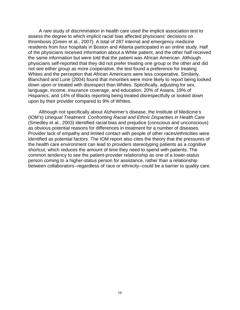A rare study of discrimination in health care used the implicit association test to assess the degree to which implicit racial bias affected physicians' decisions on thrombosis (Green et al., 2007). A total of 287 internal and emergency medicine residents from four hospitals in Boston and Atlanta participated in an online study. Half of the physicians received information about a White patient, and the other half received the same information but were told that the patient was African American. Although physicians self-reported that they did not prefer treating one group or the other and did not see either group as more cooperative, the test found a preference for treating Whites and the perception that African Americans were less cooperative. Similarly, Blanchard and Lurie (2004) found that minorities were more likely to report being looked down upon or treated with disrespect than Whites. Specifically, adjusting for sex, language, income, insurance coverage, and education, 20% of Asians, 19% of Hispanics, and 14% of Blacks reporting being treated disrespectfully or looked down upon by their provider compared to 9% of Whites.

Although not specifically about Alzheimer's disease, the Institute of Medicine's (IOM's) *Unequal Treatment: Confronting Racial and Ethnic Disparities in Health Care* (Smedley et al., 2003) identified racial bias and prejudice (conscious and unconscious) as obvious potential reasons for differences in treatment for a number of diseases. Provider lack of empathy and limited contact with people of other races/ethnicities were identified as potential factors. The IOM report also cites the theory that the pressures of the health care environment can lead to providers stereotyping patients as a cognitive shortcut, which reduces the amount of time they need to spend with patients. The common tendency to see the patient-provider relationship as one of a lower-status person coming to a higher-status person for assistance, rather than a relationship between collaborators--regardless of race or ethnicity--could be a barrier to quality care.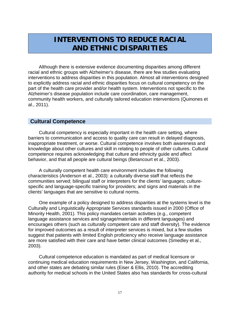## **INTERVENTIONS TO REDUCE RACIAL AND ETHNIC DISPARITIES**

Although there is extensive evidence documenting disparities among different racial and ethnic groups with Alzheimer's disease, there are few studies evaluating interventions to address disparities in this population. Almost all interventions designed to explicitly address racial and ethnic disparities focus on cultural competency on the part of the health care provider and/or health system. Interventions not specific to the Alzheimer's disease population include care coordination, care management, community health workers, and culturally tailored education interventions (Quinones et al., 2011).

#### **Cultural Competence**

Cultural competency is especially important in the health care setting, where barriers to communication and access to quality care can result in delayed diagnosis, inappropriate treatment, or worse. Cultural competence involves both awareness and knowledge about other cultures and skill in relating to people of other cultures. Cultural competence requires acknowledging that culture and ethnicity guide and affect behavior, and that all people are cultural beings (Betancourt et al., 2003).

A culturally competent health care environment includes the following characteristics (Anderson et al., 2003): a culturally diverse staff that reflects the communities served; bilingual staff or interpreters for the clients' languages; culturespecific and language-specific training for providers; and signs and materials in the clients' languages that are sensitive to cultural norms.

One example of a policy designed to address disparities at the systems level is the Culturally and Linguistically Appropriate Services standards issued in 2000 (Office of Minority Health, 2001). This policy mandates certain activities (e.g., competent language assistance services and signage/materials in different languages) and encourages others (such as culturally competent care and staff diversity). The evidence for improved outcomes as a result of interpreter services is mixed, but a few studies suggest that patients with limited English proficiency who receive language assistance are more satisfied with their care and have better clinical outcomes (Smedley et al., 2003).

Cultural competence education is mandated as part of medical licensure or continuing medical education requirements in New Jersey, Washington, and California, and other states are debating similar rules (Eiser & Ellis, 2010). The accrediting authority for medical schools in the United States also has standards for cross-cultural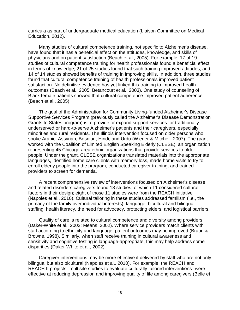curricula as part of undergraduate medical education (Liaison Committee on Medical Education, 2012).

Many studies of cultural competence training, not specific to Alzheimer's disease, have found that it has a beneficial effect on the attitudes, knowledge, and skills of physicians and on patient satisfaction (Beach et al., 2005). For example, 17 of 19 studies of cultural competence training for health professionals found a beneficial effect in terms of knowledge; 21 of 25 studies found that such training improved attitudes; and 14 of 14 studies showed benefits of training in improving skills. In addition, three studies found that cultural competence training of health professionals improved patient satisfaction. No definitive evidence has yet linked this training to improved health outcomes (Beach et al., 2005; Betancourt et al., 2003). One study of counseling of Black female patients showed that cultural competence improved patient adherence (Beach et al., 2005).

The goal of the Administration for Community Living-funded Alzheimer's Disease Supportive Services Program (previously called the Alzheimer's Disease Demonstration Grants to States program) is to provide or expand support services for traditionally underserved or hard-to-serve Alzheimer's patients and their caregivers, especially minorities and rural residents. The Illinois intervention focused on older persons who spoke Arabic, Assyrian, Bosnian, Hindi, and Urdu (Wiener & Mitchell, 2007). The grant worked with the Coalition of Limited English Speaking Elderly (CLESE), an organization representing 45 Chicago-area ethnic organizations that provide services to older people. Under the grant, CLESE organizations translated materials into the appropriate languages, identified home care clients with memory loss, made home visits to try to enroll elderly people into the program, conducted caregiver training, and trained providers to screen for dementia.

A recent comprehensive review of interventions focused on Alzheimer's disease and related disorders caregivers found 18 studies, of which 11 considered cultural factors in their design; eight of those 11 studies were from the REACH initiative (Napoles et al., 2010). Cultural tailoring in these studies addressed familism (i.e., the primacy of the family over individual interests), language, bicultural and bilingual staffing, health literacy, the need for advocacy, protecting elders, and logistical barriers.

Quality of care is related to cultural competence and diversity among providers (Daker-White et al., 2002; Means, 2002). Where service providers match clients with staff according to ethnicity and language, patient outcomes may be improved (Braun & Browne, 1998). Similarly, when staff receive training in cultural awareness and sensitivity and cognitive testing is language-appropriate, this may help address some disparities (Daker-White et al., 2002).

Caregiver interventions may be more effective if delivered by staff who are not only bilingual but also bicultural (Napoles et al., 2010). For example, the REACH and REACH II projects--multisite studies to evaluate culturally tailored interventions--were effective at reducing depression and improving quality of life among caregivers (Belle et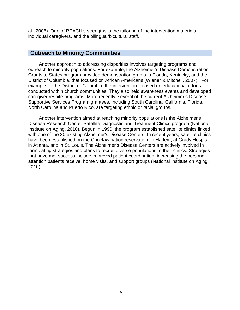al., 2006). One of REACH's strengths is the tailoring of the intervention materials individual caregivers, and the bilingual/bicultural staff.

#### **Outreach to Minority Communities**

Another approach to addressing disparities involves targeting programs and outreach to minority populations. For example, the Alzheimer's Disease Demonstration Grants to States program provided demonstration grants to Florida, Kentucky, and the District of Columbia, that focused on African Americans (Wiener & Mitchell, 2007). For example, in the District of Columbia, the intervention focused on educational efforts conducted within church communities. They also held awareness events and developed caregiver respite programs. More recently, several of the current Alzheimer's Disease Supportive Services Program grantees, including South Carolina, California, Florida, North Carolina and Puerto Rico, are targeting ethnic or racial groups.

Another intervention aimed at reaching minority populations is the Alzheimer's Disease Research Center Satellite Diagnostic and Treatment Clinics program (National Institute on Aging, 2010). Begun in 1990, the program established satellite clinics linked with one of the 30 existing Alzheimer's Disease Centers. In recent years, satellite clinics have been established on the Choctaw nation reservation, in Harlem, at Grady Hospital in Atlanta, and in St. Louis. The Alzheimer's Disease Centers are actively involved in formulating strategies and plans to recruit diverse populations to their clinics. Strategies that have met success include improved patient coordination, increasing the personal attention patients receive, home visits, and support groups (National Institute on Aging, 2010).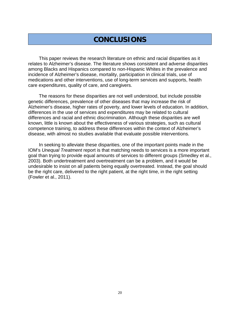# **CONCLUSIONS**

This paper reviews the research literature on ethnic and racial disparities as it relates to Alzheimer's disease. The literature shows consistent and adverse disparities among Blacks and Hispanics compared to non-Hispanic Whites in the prevalence and incidence of Alzheimer's disease, mortality, participation in clinical trials, use of medications and other interventions, use of long-term services and supports, health care expenditures, quality of care, and caregivers.

The reasons for these disparities are not well understood, but include possible genetic differences, prevalence of other diseases that may increase the risk of Alzheimer's disease, higher rates of poverty, and lower levels of education. In addition, differences in the use of services and expenditures may be related to cultural differences and racial and ethnic discrimination. Although these disparities are well known, little is known about the effectiveness of various strategies, such as cultural competence training, to address these differences within the context of Alzheimer's disease, with almost no studies available that evaluate possible interventions.

In seeking to alleviate these disparities, one of the important points made in the IOM's *Unequal Treatment* report is that matching needs to services is a more important goal than trying to provide equal amounts of services to different groups (Smedley et al., 2003). Both undertreatment and overtreatment can be a problem, and it would be undesirable to insist on all patients being equally overtreated. Instead, the goal should be the right care, delivered to the right patient, at the right time, in the right setting (Fowler et al., 2011).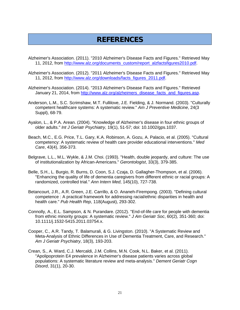# **REFERENCES**

- Alzheimer's Association. (2011). "2010 Alzheimer's Disease Facts and Figures." Retrieved May 11, 2012, from [http://www.alz.org/documents\\_custom/report\\_alzfactsfigures2010.pdf.](http://www.alz.org/documents_custom/report_alzfactsfigures2010.pdf)
- Alzheimer's Association. (2012). "2011 Alzheimer's Disease Facts and Figures." Retrieved May 11, 2012, from [http://www.alz.org/downloads/facts\\_figures\\_2011.pdf.](http://www.alz.org/downloads/facts_figures_2011.pdf)
- Alzheimer's Association. (2014). "2013 Alzheimer's Disease Facts and Figures." Retrieved January 21, 2014, from http://www.alz.org/alzheimers\_disease\_facts\_and\_figures.asp
- Anderson, L.M., S.C. Scrimshaw, M.T. Fullilove, J.E. Fielding, & J. Normand. (2003). "Culturally competent healthcare systems: A systematic review." *Am J Preventive Medicine*, 24(3 Suppl), 68-79.
- Ayalon, L., & P.A. Arean. (2004). "Knowledge of Alzheimer's disease in four ethnic groups of older adults." *Int J Geriatr Psychiatry*, 19(1), 51-57; doi: 10.1002/gps.1037.
- Beach, M.C., E.G. Price, T.L. Gary, K.A. Robinson, A. Gozu, A. Palacio, et al. (2005). "Cultural competency: A systematic review of health care provider educational interventions." *Med Care*, 43(4), 356-373.
- Belgrave, L.L., M.L. Wykle, & J.M. Choi. (1993). "Health, double jeopardy, and culture: The use of institutionalization by African-Americans." *Gerontologist*, 33(3), 379-385.
- Belle, S.H., L. Burgio, R. Burns, D. Coon, S.J. Czaja, D. Gallagher-Thompson, et al. (2006). "Enhancing the quality of life of dementia caregivers from different ethnic or racial groups: A randomized, controlled trial." *Ann Intern Med*, 145(10), 727-738.
- Betancourt, J.R., A.R. Green, J.E. Carrillo, & O. Ananeh-Firempong. (2003). "Defining cultural competence : A practical framework for addressing racial/ethnic disparities in health and health care." *Pub Health Rep*, 118(August), 293-302.
- Connolly, A., E.L. Sampson, & N. Purandare. (2012). "End-of-life care for people with dementia from ethnic minority groups: A systematic review." *J Am Geriatr Soc*, 60(2), 351-360; doi: 10.1111/j.1532-5415.2011.03754.x.
- Cooper, C., A.R. Tandy, T. Balamurali, & G. Livingston. (2010). "A Systematic Review and Meta-Analysis of Ethnic Differences in Use of Dementia Treatment, Care, and Research." *Am J Geriatr Psychiatry*, 18(3), 193-203.
- Crean, S., A. Ward, C.J. Mercaldi, J.M. Collins, M.N. Cook, N.L. Baker, et al. (2011). "Apolipoprotein E4 prevalence in Alzheimer's disease patients varies across global populations: A systematic literature review and meta-analysis." *Dement Geriatr Cogn Disord*, 31(1), 20-30.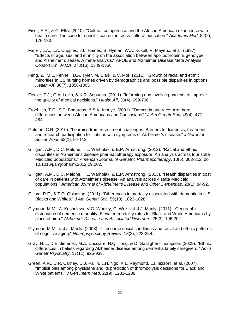- Eiser, A.R., & G. Ellis. (2010). "Cultural competence and the African American experience with health care: The case for specific content in cross-cultural education." *Academic Med*, 82(2), 176-183.
- Farrer, L.A., L.A. Cupples, J.L. Haines, B. Hyman, W.A. Kukull, R. Mayeux, et al. (1997). "Effects of age, sex, and ethnicity on the association between apolipoprotein E genotype and Alzheimer disease. A meta-analysis." APOE and Alzheimer Disease Meta Analysis Consortium. *JAMA*, 278(16), 1349-1356.
- Feng, Z., M.L. Fennell, D.A. Tyler, M. Clark, & V. Mor. (2011). "Growth of racial and ethnic minorities in US nursing homes driven by demographics and possible disparities in options." *Health Aff*, 30(7), 1358-1365.
- Fowler, F.J., C.A. Levin, & K.R. Sepucha. (2011). "Informing and involving patients to improve the quality of medical decisions." *Health Aff*, 30(4), 699-706.
- Froehlich, T.E., S.T. Bogardus, & S.K. Inouye. (2001). "Dementia and race: Are there differences between African Americans and Caucasians?" *J Am Geriatr Soc*, 49(4), 477- 484.
- Gelman, C.R. (2010). "Learning from recruitment challenges: Barriers to diagnosis, treatment, and research participation for Latinos with symptoms of Alzheimer's disease." *J Gerontol Social Work*, 53(1), 94-113.
- Gilligan, A.M., D.C. Malone, T.L. Warholak, & E.P. Armstrong. (2012). "Racial and ethnic disparities in Alzheimer's disease pharmacotherapy exposure: An analysis across four state Medicaid populations." *American Journal of Geriatric Pharmacotherapy*, 10(5), 303-312; doi: 10.1016/j.amjopharm.2012.09.002.
- Gilligan, A.M., D.C. Malone, T.L. Warholak, & E.P. Armstrong. (2013). "Health disparities in cost of care in patients with Alzheimer's disease: An analysis across 4 state Medicaid populations." *American Journal of Alzheimer's Disease and Other Dementias*, 28(1), 84-92.
- Gillum, R.F., & T.O. Obisesan. (2011). "Differences in mortality associated with dementia in U.S. Blacks and Whites." *J Am Geriatr Soc*, 59(10), 1823-1828.
- Glymour, M.M., A. Kosheleva, V.G. Wadley, C. Weiss, & J.J. Manly. (2011). "Geographic distribution of dementia mortality: Elevated mortality rates for Black and White Americans by place of birth." *Alzheimer Disease and Associated Disorders*, 25(3), 196-202.
- Glymour, M.M., & J.J. Manly. (2008). "Lifecourse social conditions and racial and ethnic patterns of cognitive aging." *Neuropsychology Review*, 18(3), 223-254.
- Gray, H.L., D.E. Jimenez, M.A. Cucciare, H.Q. Tong, & D. Gallagher-Thompson. (2009). "Ethnic differences in beliefs regarding Alzheimer disease among dementia family caregivers." *Am J Geriatr Psychiatry*, 17(11), 925-933.
- Green, A.R., D.R. Carney, D.J. Pallin, L.H. Ngo, K.L. Raymond, L.I. Iezzoni, et al. (2007). "Implicit bias among physicians and its prediction of thrombolysis decisions for Black and White patients." *J Gen Intern Med*, 22(9), 1231-1238.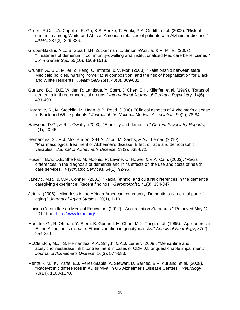- Green, R.C., L.A. Cupples, R. Go, K.S. Benke, T. Edeki, P.A. Griffith, et al. (2002). "Risk of dementia among White and African American relatives of patients with Alzheimer disease." *JAMA*, 287(3), 329-336.
- Gruber-Baldini, A.L., B. Stuart, I.H. Zuckerman, L. Simoni-Wastila, & R. Miller. (2007). "Treatment of dementia in community-dwelling and institutionalized Medicare beneficiaries." *J Am Geriatr Soc*, 55(10), 1508-1516.
- Gruneir, A., S.C. Miller, Z. Feng, O. Intrator, & V. Mor. (2008). "Relationship between state Medicaid policies, nursing home racial composition, and the risk of hospitalization for Black and White residents." *Health Serv Res*, 43(3), 869-881.
- Gurland, B.J., D.E. Wilder, R. Lantigua, Y. Stern, J. Chen, E.H. Killeffer, et al. (1999). "Rates of dementia in three ethnoracial groups." *International Journal of Geriatric Psychiatry*, 14(6), 481-493.
- Hargrave, R., M. Stoeklin, M. Haan, & B. Reed. (1998). "Clinical aspects of Alzheimer's disease in Black and White patients." *Journal of the National Medical Association*, 90(2), 78-84.
- Harwood, D.G., & R.L. Ownby. (2000). "Ethnicity and dementia." *Current Psychiatry Reports*, 2(1), 40-45.
- Hernandez, S., M.J. McClendon, X-H.A. Zhou, M. Sachs, & A.J. Lerner. (2010). "Pharmacological treatment of Alzheimer's disease: Effect of race and demographic variables." *Journal of Alzheimer's Disease*, 19(2), 665-672.
- Husaini, B.A., D.E. Sherkat, M. Moonis, R. Levine, C. Holzer, & V.A. Cain. (2003). "Racial differences in the diagnosis of dementia and in its effects on the use and costs of health care services." *Psychiatric Services*, 54(1), 92-96.
- Janevic, M.R., & C.M. Connell. (2001). "Racial, ethnic, and cultural differences in the dementia caregiving experience: Recent findings." *Gerontologist*, 41(3), 334-347.
- Jett, K. (2006). "Mind-loss in the African American community: Dementia as a normal part of aging." *Journal of Aging Studies*, 20(1), 1-10.
- Liaison Committee on Medical Education. (2012). "Accreditation Standards." Retrieved May 12, 2012 from [http://www.lcme.org/.](http://www.lcme.org/)
- Maestre, G., R. Ottman, Y. Stern, B. Gurland, M. Chun, M.X. Tang, et al. (1995). "Apolipoprotein E and Alzheimer's disease: Ethnic variation in genotypic risks." *Annals of Neurology*, 37(2), 254-259.
- McClendon, M.J., S. Hernandez, K.A. Smyth, & A.J. Lerner. (2009). "Memantine and acetylcholinesterase inhibitor treatment in cases of CDR 0.5 or questionable impairment." *Journal of Alzheimer's Disease*, 16(3), 577-583.
- Mehta, K.M., K. Yaffe, E.J. Pérez-Stable, A. Stewart, D. Barnes, B.F. Kurland, et al. (2008). "Race/ethnic differences in AD survival in US Alzheimer's Disease Centers." *Neurology*, 70(14), 1163-1170.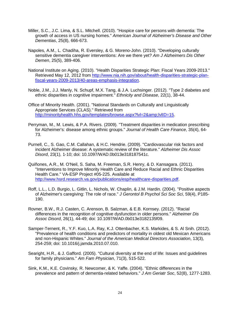- Miller, S.C., J.C. Lima, & S.L. Mitchell. (2010). "Hospice care for persons with dementia: The growth of access in US nursing homes." *American Journal of Alzheimer's Disease and Other Dementias*, 25(8), 666-673.
- Napoles, A.M., L. Chadiha, R. Eversley, & G. Moreno-John. (2010). "Developing culturally sensitive dementia caregiver interventions: Are we there yet? *Am J Alzheimers Dis Other Demen*, 25(5), 389-406.
- National Institute on Aging. (2010). "Health Disparities Strategic Plan: Fiscal Years 2009-2013." Retrieved May 12, 2012 from [http://www.nia.nih.gov/about/health-disparities-strategic-plan](http://www.nia.nih.gov/about/health-disparities-strategic-plan-fiscal-years-2009-2013/40-areas-emphasis-integration)[fiscal-years-2009-2013/40-areas-emphasis-integration.](http://www.nia.nih.gov/about/health-disparities-strategic-plan-fiscal-years-2009-2013/40-areas-emphasis-integration)
- Noble, J.M., J.J. Manly, N. Schupf, M.X. Tang, & J.A. Luchsinger. (2012). "Type 2 diabetes and ethnic disparities in cognitive impairment." *Ethnicity and Disease*, 22(1), 38-44.
- Office of Minority Health. (2001). "National Standards on Culturally and Linguistically Appropriate Services (CLAS)." Retrieved from [http://minorityhealth.hhs.gov/templates/browse.aspx?lvl=2&lvlID=15.](http://minorityhealth.hhs.gov/templates/browse.aspx?lvl=2&lvlID=15)
- Perryman, M., M. Lewis, & P.A. Rivers. (2009). "Treatment disparities in medication prescribing for Alzheimer's: disease among ethnic groups." *Journal of Health Care Finance*, 35(4), 64- 73.
- Purnell, C., S. Gao, C.M. Callahan, & H.C. Hendrie. (2009). "Cardiovascular risk factors and incident Alzheimer disease: A systematic review of the literature." *Alzheimer Dis Assoc Disord*, 23(1), 1-10; doi: 10.1097/WAD.0b013e318187541c.
- Quiñones, A.R., M. O'Neil, S. Saha, M. Freeman, S.R. Henry, & D. Kansagara. (2011). "Interventions to Improve Minority Health Care and Reduce Racial and Ethnic Disparities Health Care." VA-ESP Project #05-225. Available at [http://www.hsrd.research.va.gov/publications/esp/healthcare-disparities.pdf.](http://www.hsrd.research.va.gov/publications/esp/healthcare-disparities.pdf)
- Roff, L.L., L.D. Burgio, L. Gitlin, L. Nichols, W. Chaplin, & J.M. Hardin. (2004). "Positive aspects of Alzheimer's caregiving: The role of race." *J Gerontol B Psychol Sci Soc Sci*, 59(4), P185- 190.
- Rovner, B.W., R.J. Casten, C. Arenson, B. Salzman, & E.B. Kornsey. (2012). "Racial differences in the recognition of cognitive dysfunction in older persons." *Alzheimer Dis Assoc Disord*, 26(1), 44-49; doi: 10.1097/WAD.0b013e3182135f09.
- Samper-Ternent, R., Y.F. Kuo, L.A. Ray, K.J. Ottenbacher, K.S. Markides, & S. Al Snih. (2012). "Prevalence of health conditions and predictors of mortality in oldest old Mexican Americans and non-Hispanic Whites." *Journal of the American Medical Directors Association*, 13(3), 254-259; doi: 10.1016/j.jamda.2010.07.010.
- Searight, H.R., & J. Gafford. (2005). "Cultural diversity at the end of life: Issues and guidelines for family physicians." *Am Fam Physician*, 71(3), 515-522.
- Sink, K.M., K.E. Covinsky, R. Newcomer, & K. Yaffe. (2004). "Ethnic differences in the prevalence and pattern of dementia-related behaviors." *J Am Geriatr Soc*, 52(8), 1277-1283.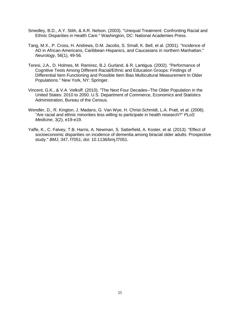- Smedley, B.D., A.Y. Stith, & A.R. Nelson. (2003). "Unequal Treatment: Confronting Racial and Ethnic Disparities in Health Care." Washington, DC: National Academies Press.
- Tang, M.X., P. Cross, H. Andrews, D.M. Jacobs, S. Small, K. Bell, et al. (2001). "Incidence of AD in African-Americans, Caribbean Hispanics, and Caucasians in northern Manhattan." *Neurology*, 56(1), 49-56.
- Teresi, J.A., D. Holmes, M. Ramirez, B.J. Gurland, & R. Lantigua. (2002). "Performance of Cognitive Tests Among Different Racial/Ethnic and Education Groups: Findings of Differential Item Functioning and Possible Item Bias Multicultural Measurement In Older Populations." New York, NY: Springer.
- Vincent, G.K., & V.A. Velkoff. (2010). "The Next Four Decades--The Older Population in the United States: 2010 to 2050. U.S. Department of Commerce, Economics and Statistics Administration, Bureau of the Census.
- Wendler, D., R. Kington, J. Madans, G. Van Wye, H. Christ-Schmidt, L.A. Pratt, et al. (2006). "Are racial and ethnic minorities less willing to participate in health research?" *PLoS Medicine*, 3(2), e19-e19.
- Yaffe, K., C. Falvey, T.B. Harris, A. Newman, S. Satterfield, A. Koster, et al. (2013). "Effect of socioeconomic disparities on incidence of dementia among biracial older adults: Prospective study." *BMJ*, 347, f7051; doi: 10.1136/bmj.f7051.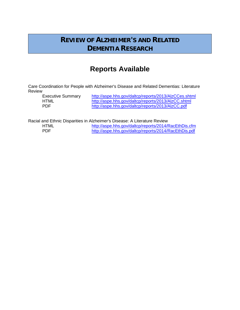## **REVIEW OF ALZHEIMER'S AND RELATED DEMENTIA RESEARCH**

# **Reports Available**

Care Coordination for People with Alzheimer's Disease and Related Dementias: Literature Review

Executive Summary <http://aspe.hhs.gov/daltcp/reports/2013/AlzCCes.shtml><br>http://aspe.hhs.gov/daltcp/reports/2013/AlzCC.shtml HTML <http://aspe.hhs.gov/daltcp/reports/2013/AlzCC.shtml><br>PDF http://aspe.hhs.gov/daltcp/reports/2013/AlzCC.pdf <http://aspe.hhs.gov/daltcp/reports/2013/AlzCC.pdf>

Racial and Ethnic Disparities in Alzheimer's Disease: A Literature Review<br>http://aspe.hhs.gov/daltcp/reports/2014/F

HTML<br>
HTML <http://aspe.hhs.gov/daltcp/reports/2014/RacEthDis.cfm><br>
http://aspe.hhs.gov/daltcp/reports/2014/RacEthDis.pdf <http://aspe.hhs.gov/daltcp/reports/2014/RacEthDis.pdf>